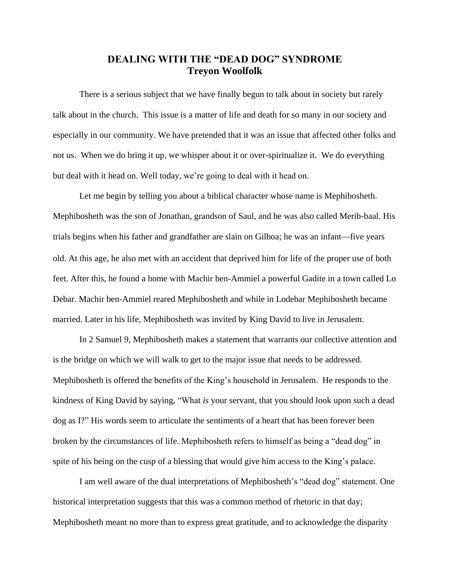## **DEALING WITH THE "DEAD DOG" SYNDROME Treyon Woolfolk**

There is a serious subject that we have finally begun to talk about in society but rarely talk about in the church. This issue is a matter of life and death for so many in our society and especially in our community. We have pretended that it was an issue that affected other folks and not us. When we do bring it up, we whisper about it or over-spiritualize it. We do everything but deal with it head on. Well today, we're going to deal with it head on.

Let me begin by telling you about a biblical character whose name is Mephibosheth. Mephibosheth was the son of Jonathan, grandson of Saul, and he was also called Merib-baal. His trials begins when his father and grandfather are slain on Gilboa; he was an infant*—*five years old. At this age, he also met with an accident that deprived him for life of the proper use of both feet. After this, he found a home with Machir ben-Ammiel a powerful Gadite in a town called Lo Debar. Machir ben-Ammiel reared Mephibosheth and while in Lodebar Mephibosheth became married. Later in his life, Mephibosheth was invited by King David to live in Jerusalem.

In 2 Samuel 9, Mephibosheth makes a statement that warrants our collective attention and is the bridge on which we will walk to get to the major issue that needs to be addressed. Mephibosheth is offered the benefits of the King's household in Jerusalem. He responds to the kindness of King David by saying, "What *is* your servant, that you should look upon such a dead dog as I?" His words seem to articulate the sentiments of a heart that has been forever been broken by the circumstances of life. Mephibosheth refers to himself as being a "dead dog" in spite of his being on the cusp of a blessing that would give him access to the King's palace.

I am well aware of the dual interpretations of Mephibosheth's "dead dog" statement. One historical interpretation suggests that this was a common method of rhetoric in that day; Mephibosheth meant no more than to express great gratitude, and to acknowledge the disparity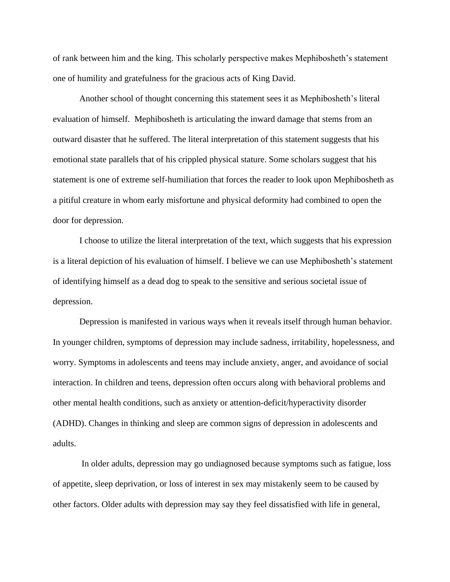of rank between him and the king. This scholarly perspective makes Mephibosheth's statement one of humility and gratefulness for the gracious acts of King David.

Another school of thought concerning this statement sees it as Mephibosheth's literal evaluation of himself. Mephibosheth is articulating the inward damage that stems from an outward disaster that he suffered. The literal interpretation of this statement suggests that his emotional state parallels that of his crippled physical stature. Some scholars suggest that his statement is one of extreme self-humiliation that forces the reader to look upon Mephibosheth as a pitiful creature in whom early misfortune and physical deformity had combined to open the door for depression.

I choose to utilize the literal interpretation of the text, which suggests that his expression is a literal depiction of his evaluation of himself. I believe we can use Mephibosheth's statement of identifying himself as a dead dog to speak to the sensitive and serious societal issue of depression.

Depression is manifested in various ways when it reveals itself through human behavior. In younger children, symptoms of depression may include sadness, irritability, hopelessness, and worry. Symptoms in adolescents and teens may include anxiety, anger, and avoidance of social interaction. In children and teens, depression often occurs along with behavioral problems and other mental health conditions, such as anxiety or attention-deficit/hyperactivity disorder (ADHD). Changes in thinking and sleep are common signs of depression in adolescents and adults.

In older adults, depression may go undiagnosed because symptoms such as fatigue, loss of appetite, sleep deprivation, or loss of interest in sex may mistakenly seem to be caused by other factors. Older adults with depression may say they feel dissatisfied with life in general,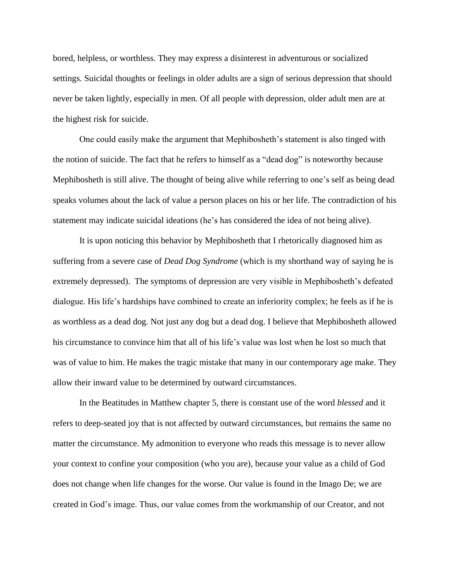bored, helpless, or worthless. They may express a disinterest in adventurous or socialized settings. Suicidal thoughts or feelings in older adults are a sign of serious depression that should never be taken lightly, especially in men. Of all people with depression, older adult men are at the highest risk for suicide.

One could easily make the argument that Mephibosheth's statement is also tinged with the notion of suicide. The fact that he refers to himself as a "dead dog" is noteworthy because Mephibosheth is still alive. The thought of being alive while referring to one's self as being dead speaks volumes about the lack of value a person places on his or her life. The contradiction of his statement may indicate suicidal ideations (he's has considered the idea of not being alive).

It is upon noticing this behavior by Mephibosheth that I rhetorically diagnosed him as suffering from a severe case of *Dead Dog Syndrome* (which is my shorthand way of saying he is extremely depressed). The symptoms of depression are very visible in Mephibosheth's defeated dialogue. His life's hardships have combined to create an inferiority complex; he feels as if he is as worthless as a dead dog. Not just any dog but a dead dog. I believe that Mephibosheth allowed his circumstance to convince him that all of his life's value was lost when he lost so much that was of value to him. He makes the tragic mistake that many in our contemporary age make. They allow their inward value to be determined by outward circumstances.

In the Beatitudes in Matthew chapter 5, there is constant use of the word *blessed* and it refers to deep-seated joy that is not affected by outward circumstances, but remains the same no matter the circumstance. My admonition to everyone who reads this message is to never allow your context to confine your composition (who you are), because your value as a child of God does not change when life changes for the worse. Our value is found in the Imago De; we are created in God's image. Thus, our value comes from the workmanship of our Creator, and not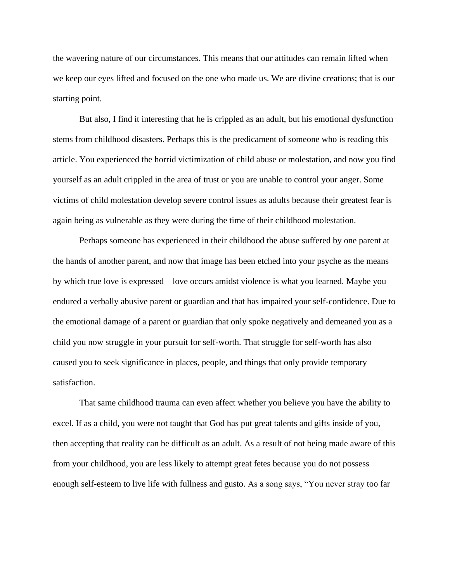the wavering nature of our circumstances. This means that our attitudes can remain lifted when we keep our eyes lifted and focused on the one who made us. We are divine creations; that is our starting point.

But also, I find it interesting that he is crippled as an adult, but his emotional dysfunction stems from childhood disasters. Perhaps this is the predicament of someone who is reading this article. You experienced the horrid victimization of child abuse or molestation, and now you find yourself as an adult crippled in the area of trust or you are unable to control your anger. Some victims of child molestation develop severe control issues as adults because their greatest fear is again being as vulnerable as they were during the time of their childhood molestation.

Perhaps someone has experienced in their childhood the abuse suffered by one parent at the hands of another parent, and now that image has been etched into your psyche as the means by which true love is expressed—love occurs amidst violence is what you learned. Maybe you endured a verbally abusive parent or guardian and that has impaired your self-confidence. Due to the emotional damage of a parent or guardian that only spoke negatively and demeaned you as a child you now struggle in your pursuit for self-worth. That struggle for self-worth has also caused you to seek significance in places, people, and things that only provide temporary satisfaction.

That same childhood trauma can even affect whether you believe you have the ability to excel. If as a child, you were not taught that God has put great talents and gifts inside of you, then accepting that reality can be difficult as an adult. As a result of not being made aware of this from your childhood, you are less likely to attempt great fetes because you do not possess enough self-esteem to live life with fullness and gusto. As a song says, "You never stray too far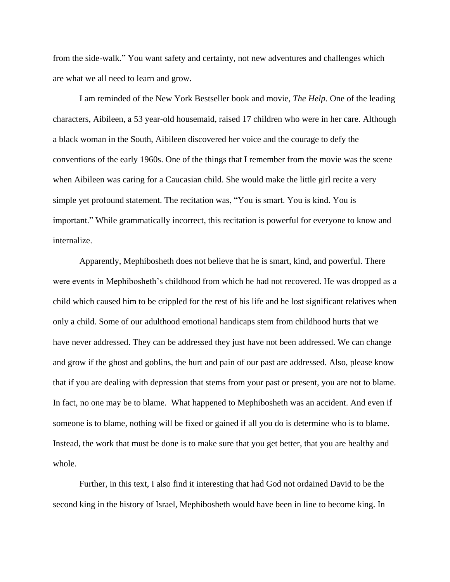from the side-walk." You want safety and certainty, not new adventures and challenges which are what we all need to learn and grow.

I am reminded of the New York Bestseller book and movie, *The Help*. One of the leading characters, Aibileen, a 53 year-old housemaid, raised 17 children who were in her care. Although a black woman in the South, Aibileen discovered her voice and the courage to defy the conventions of the early 1960s. One of the things that I remember from the movie was the scene when Aibileen was caring for a Caucasian child. She would make the little girl recite a very simple yet profound statement. The recitation was, "You is smart. You is kind. You is important." While grammatically incorrect, this recitation is powerful for everyone to know and internalize.

Apparently, Mephibosheth does not believe that he is smart, kind, and powerful. There were events in Mephibosheth's childhood from which he had not recovered. He was dropped as a child which caused him to be crippled for the rest of his life and he lost significant relatives when only a child. Some of our adulthood emotional handicaps stem from childhood hurts that we have never addressed. They can be addressed they just have not been addressed. We can change and grow if the ghost and goblins, the hurt and pain of our past are addressed. Also, please know that if you are dealing with depression that stems from your past or present, you are not to blame. In fact, no one may be to blame. What happened to Mephibosheth was an accident. And even if someone is to blame, nothing will be fixed or gained if all you do is determine who is to blame. Instead, the work that must be done is to make sure that you get better, that you are healthy and whole.

Further, in this text, I also find it interesting that had God not ordained David to be the second king in the history of Israel, Mephibosheth would have been in line to become king. In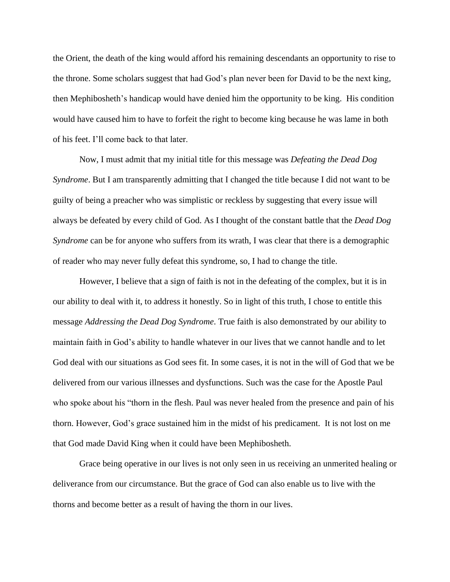the Orient, the death of the king would afford his remaining descendants an opportunity to rise to the throne. Some scholars suggest that had God's plan never been for David to be the next king, then Mephibosheth's handicap would have denied him the opportunity to be king. His condition would have caused him to have to forfeit the right to become king because he was lame in both of his feet. I'll come back to that later.

Now, I must admit that my initial title for this message was *Defeating the Dead Dog Syndrome*. But I am transparently admitting that I changed the title because I did not want to be guilty of being a preacher who was simplistic or reckless by suggesting that every issue will always be defeated by every child of God. As I thought of the constant battle that the *Dead Dog Syndrome* can be for anyone who suffers from its wrath, I was clear that there is a demographic of reader who may never fully defeat this syndrome, so, I had to change the title.

However, I believe that a sign of faith is not in the defeating of the complex, but it is in our ability to deal with it, to address it honestly. So in light of this truth, I chose to entitle this message *Addressing the Dead Dog Syndrome*. True faith is also demonstrated by our ability to maintain faith in God's ability to handle whatever in our lives that we cannot handle and to let God deal with our situations as God sees fit. In some cases, it is not in the will of God that we be delivered from our various illnesses and dysfunctions. Such was the case for the Apostle Paul who spoke about his "thorn in the flesh. Paul was never healed from the presence and pain of his thorn. However, God's grace sustained him in the midst of his predicament. It is not lost on me that God made David King when it could have been Mephibosheth.

Grace being operative in our lives is not only seen in us receiving an unmerited healing or deliverance from our circumstance. But the grace of God can also enable us to live with the thorns and become better as a result of having the thorn in our lives.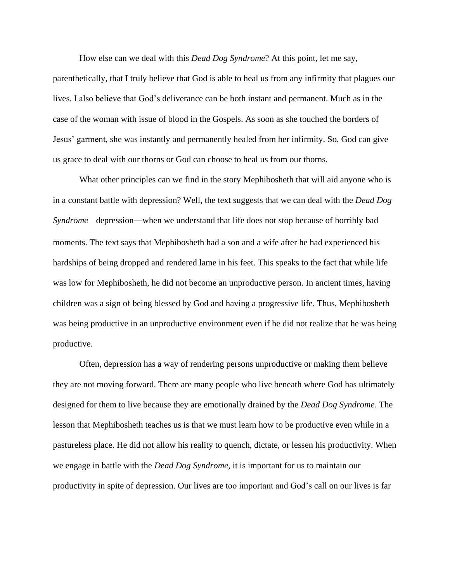How else can we deal with this *Dead Dog Syndrome*? At this point, let me say, parenthetically, that I truly believe that God is able to heal us from any infirmity that plagues our lives. I also believe that God's deliverance can be both instant and permanent. Much as in the case of the woman with issue of blood in the Gospels. As soon as she touched the borders of Jesus' garment, she was instantly and permanently healed from her infirmity. So, God can give us grace to deal with our thorns or God can choose to heal us from our thorns.

What other principles can we find in the story Mephibosheth that will aid anyone who is in a constant battle with depression? Well, the text suggests that we can deal with the *Dead Dog Syndrome—*depression*—*when we understand that life does not stop because of horribly bad moments. The text says that Mephibosheth had a son and a wife after he had experienced his hardships of being dropped and rendered lame in his feet. This speaks to the fact that while life was low for Mephibosheth, he did not become an unproductive person. In ancient times, having children was a sign of being blessed by God and having a progressive life. Thus, Mephibosheth was being productive in an unproductive environment even if he did not realize that he was being productive.

Often, depression has a way of rendering persons unproductive or making them believe they are not moving forward. There are many people who live beneath where God has ultimately designed for them to live because they are emotionally drained by the *Dead Dog Syndrome*. The lesson that Mephibosheth teaches us is that we must learn how to be productive even while in a pastureless place. He did not allow his reality to quench, dictate, or lessen his productivity. When we engage in battle with the *Dead Dog Syndrome,* it is important for us to maintain our productivity in spite of depression. Our lives are too important and God's call on our lives is far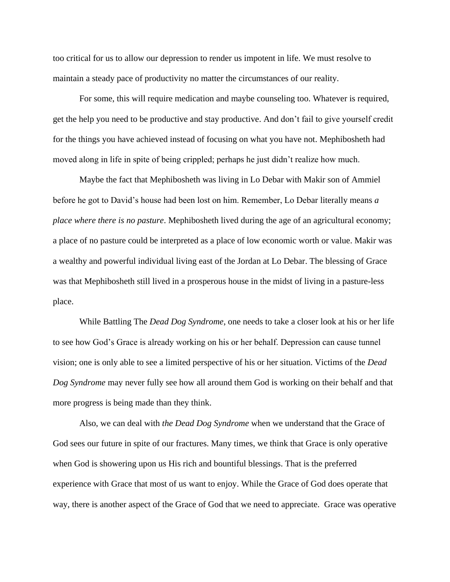too critical for us to allow our depression to render us impotent in life. We must resolve to maintain a steady pace of productivity no matter the circumstances of our reality.

For some, this will require medication and maybe counseling too. Whatever is required, get the help you need to be productive and stay productive. And don't fail to give yourself credit for the things you have achieved instead of focusing on what you have not. Mephibosheth had moved along in life in spite of being crippled; perhaps he just didn't realize how much.

Maybe the fact that Mephibosheth was living in Lo Debar with Makir son of Ammiel before he got to David's house had been lost on him. Remember, Lo Debar literally means *a place where there is no pasture*. Mephibosheth lived during the age of an agricultural economy; a place of no pasture could be interpreted as a place of low economic worth or value. Makir was a wealthy and powerful individual living east of the Jordan at Lo Debar. The blessing of Grace was that Mephibosheth still lived in a prosperous house in the midst of living in a pasture-less place.

While Battling The *Dead Dog Syndrome*, one needs to take a closer look at his or her life to see how God's Grace is already working on his or her behalf. Depression can cause tunnel vision; one is only able to see a limited perspective of his or her situation. Victims of the *Dead Dog Syndrome* may never fully see how all around them God is working on their behalf and that more progress is being made than they think.

Also, we can deal with *the Dead Dog Syndrome* when we understand that the Grace of God sees our future in spite of our fractures. Many times, we think that Grace is only operative when God is showering upon us His rich and bountiful blessings. That is the preferred experience with Grace that most of us want to enjoy. While the Grace of God does operate that way, there is another aspect of the Grace of God that we need to appreciate. Grace was operative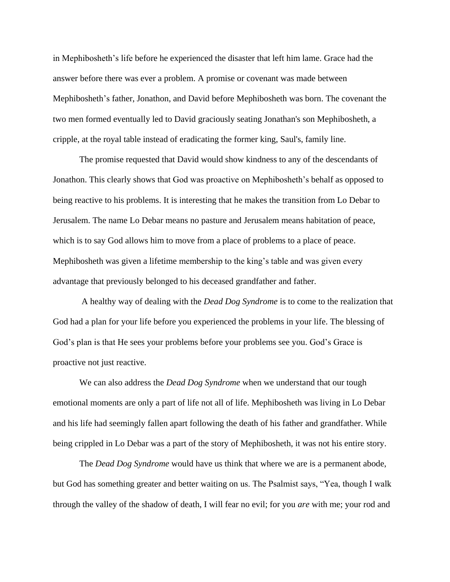in Mephibosheth's life before he experienced the disaster that left him lame. Grace had the answer before there was ever a problem. A promise or covenant was made between Mephibosheth's father, Jonathon, and David before Mephibosheth was born. The covenant the two men formed eventually led to David graciously seating Jonathan's son Mephibosheth, a cripple, at the royal table instead of eradicating the former king, Saul's, family line.

The promise requested that David would show kindness to any of the descendants of Jonathon. This clearly shows that God was proactive on Mephibosheth's behalf as opposed to being reactive to his problems. It is interesting that he makes the transition from Lo Debar to Jerusalem. The name Lo Debar means no pasture and Jerusalem means habitation of peace, which is to say God allows him to move from a place of problems to a place of peace. Mephibosheth was given a lifetime membership to the king's table and was given every advantage that previously belonged to his deceased grandfather and father.

A healthy way of dealing with the *Dead Dog Syndrome* is to come to the realization that God had a plan for your life before you experienced the problems in your life. The blessing of God's plan is that He sees your problems before your problems see you. God's Grace is proactive not just reactive.

We can also address the *Dead Dog Syndrome* when we understand that our tough emotional moments are only a part of life not all of life. Mephibosheth was living in Lo Debar and his life had seemingly fallen apart following the death of his father and grandfather. While being crippled in Lo Debar was a part of the story of Mephibosheth, it was not his entire story.

The *Dead Dog Syndrome* would have us think that where we are is a permanent abode, but God has something greater and better waiting on us. The Psalmist says, "Yea, though I walk through the valley of the shadow of death, I will fear no evil; for you *are* with me; your rod and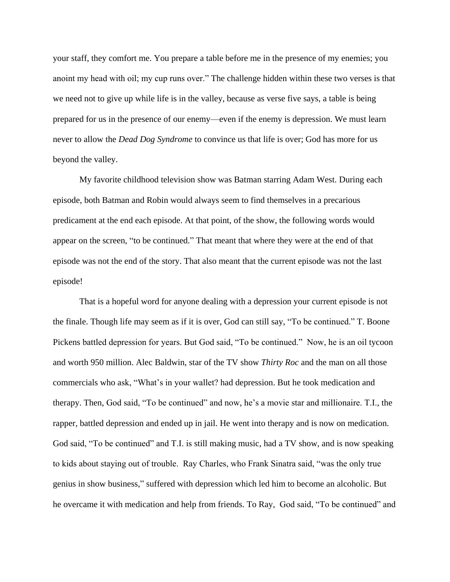your staff, they comfort me. You prepare a table before me in the presence of my enemies; you anoint my head with oil; my cup runs over." The challenge hidden within these two verses is that we need not to give up while life is in the valley, because as verse five says, a table is being prepared for us in the presence of our enemy—even if the enemy is depression. We must learn never to allow the *Dead Dog Syndrome* to convince us that life is over; God has more for us beyond the valley.

My favorite childhood television show was Batman starring Adam West. During each episode, both Batman and Robin would always seem to find themselves in a precarious predicament at the end each episode. At that point, of the show, the following words would appear on the screen, "to be continued." That meant that where they were at the end of that episode was not the end of the story. That also meant that the current episode was not the last episode!

That is a hopeful word for anyone dealing with a depression your current episode is not the finale. Though life may seem as if it is over, God can still say, "To be continued." T. Boone Pickens battled depression for years. But God said, "To be continued." Now, he is an oil tycoon and worth 950 million. Alec Baldwin, star of the TV show *Thirty Roc* and the man on all those commercials who ask, "What's in your wallet? had depression. But he took medication and therapy. Then, God said, "To be continued" and now, he's a movie star and millionaire. T.I., the rapper, battled depression and ended up in jail. He went into therapy and is now on medication. God said, "To be continued" and T.I. is still making music, had a TV show, and is now speaking to kids about staying out of trouble. Ray Charles, who Frank Sinatra said, "was the only true genius in show business," suffered with depression which led him to become an alcoholic. But he overcame it with medication and help from friends. To Ray, God said, "To be continued" and